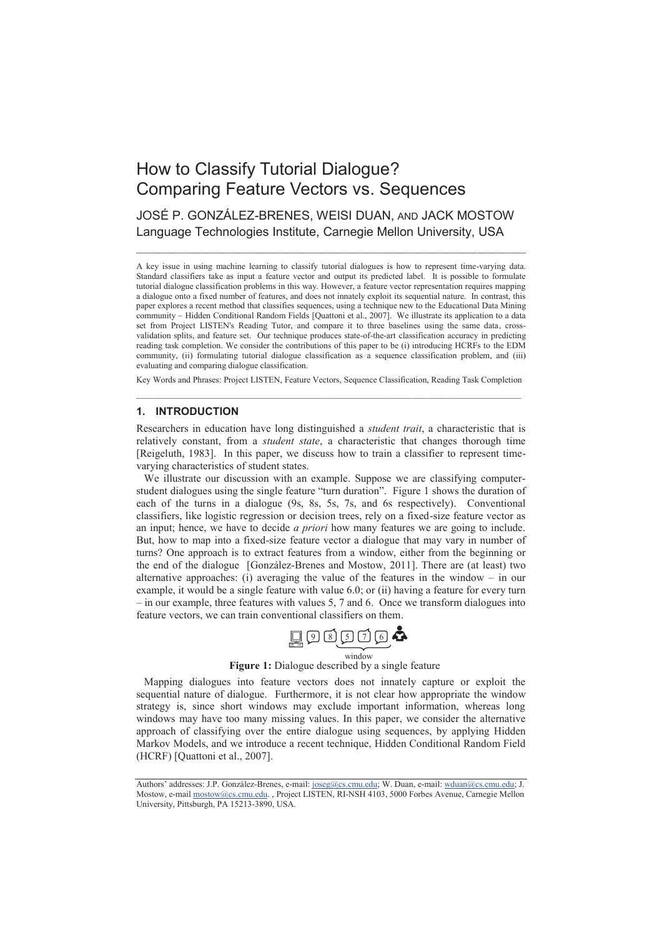# How to Classify Tutorial Dialogue? Comparing Feature Vectors vs. Sequences

JOSÉ P. GONZÁLEZ-BRENES, WEISI DUAN, AND JACK MOSTOW Language Technologies Institute, Carnegie Mellon University, USA

 $\_$  , and the set of the set of the set of the set of the set of the set of the set of the set of the set of the set of the set of the set of the set of the set of the set of the set of the set of the set of the set of th

A key issue in using machine learning to classify tutorial dialogues is how to represent time-varying data. Standard classifiers take as input a feature vector and output its predicted label. It is possible to formulate tutorial dialogue classification problems in this way. However, a feature vector representation requires mapping a dialogue onto a fixed number of features, and does not innately exploit its sequential nature. In contrast, this paper explores a recent method that classifies sequences, using a technique new to the Educational Data Mining community – Hidden Conditional Random Fields [Quattoni et al., 2007]. We illustrate its application to a data set from Project LISTEN's Reading Tutor, and compare it to three baselines using the same data, crossvalidation splits, and feature set. Our technique produces state-of-the-art classification accuracy in predicting reading task completion. We consider the contributions of this paper to be (i) introducing HCRFs to the EDM community, (ii) formulating tutorial dialogue classification as a sequence classification problem, and (iii) evaluating and comparing dialogue classification.

Key Words and Phrases: Project LISTEN, Feature Vectors, Sequence Classification, Reading Task Completion  $\_$  , and the set of the set of the set of the set of the set of the set of the set of the set of the set of the set of the set of the set of the set of the set of the set of the set of the set of the set of the set of th

## **1. INTRODUCTION**

Researchers in education have long distinguished a *student trait*, a characteristic that is relatively constant, from a *student state*, a characteristic that changes thorough time [Reigeluth, 1983]. In this paper, we discuss how to train a classifier to represent timevarying characteristics of student states.

We illustrate our discussion with an example. Suppose we are classifying computerstudent dialogues using the single feature "turn duration". Figure 1 shows the duration of each of the turns in a dialogue (9s, 8s, 5s, 7s, and 6s respectively). Conventional classifiers, like logistic regression or decision trees, rely on a fixed-size feature vector as an input; hence, we have to decide *a priori* how many features we are going to include. But, how to map into a fixed-size feature vector a dialogue that may vary in number of turns? One approach is to extract features from a window, either from the beginning or the end of the dialogue [González-Brenes and Mostow, 2011]. There are (at least) two alternative approaches: (i) averaging the value of the features in the window – in our example, it would be a single feature with value 6.0; or (ii) having a feature for every turn – in our example, three features with values 5, 7 and 6. Once we transform dialogues into feature vectors, we can train conventional classifiers on them.



## **Figure 1:** Dialogue described by a single feature

Mapping dialogues into feature vectors does not innately capture or exploit the sequential nature of dialogue. Furthermore, it is not clear how appropriate the window strategy is, since short windows may exclude important information, whereas long windows may have too many missing values. In this paper, we consider the alternative approach of classifying over the entire dialogue using sequences, by applying Hidden Markov Models, and we introduce a recent technique, Hidden Conditional Random Field (HCRF) [Quattoni et al., 2007].

Authors' addresses: J.P. González-Brenes, e-mail: joseg@cs.cmu.edu; W. Duan, e-mail: wduan@cs.cmu.edu; J. Mostow, e-mail mostow@cs.cmu.edu., Project LISTEN, RI-NSH 4103, 5000 Forbes Avenue, Carnegie Mellon University, Pittsburgh, PA 15213-3890, USA.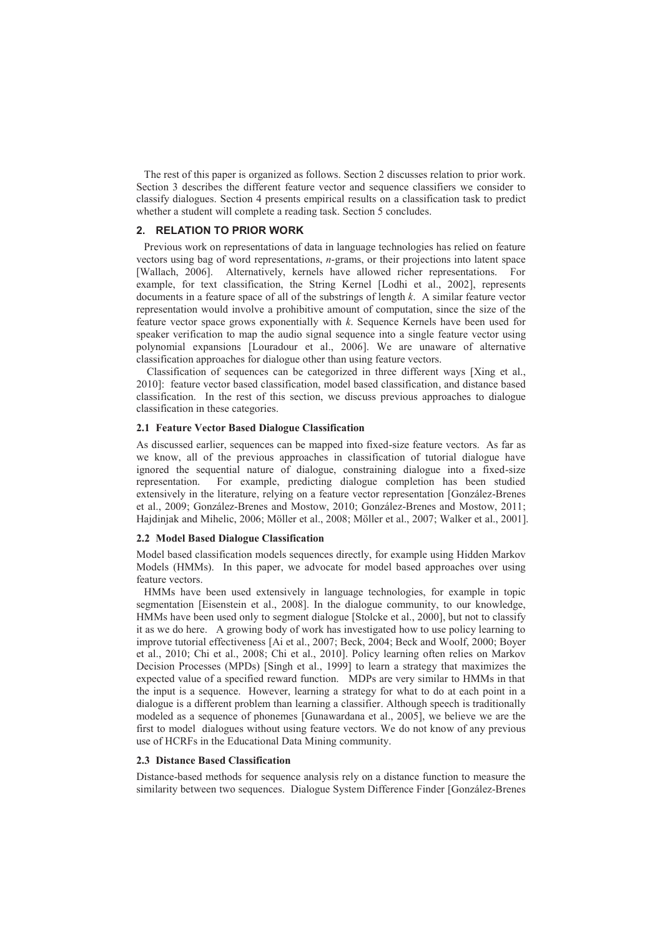The rest of this paper is organized as follows. Section 2 discusses relation to prior work. Section 3 describes the different feature vector and sequence classifiers we consider to classify dialogues. Section 4 presents empirical results on a classification task to predict whether a student will complete a reading task. Section 5 concludes.

#### **2. RELATION TO PRIOR WORK**

Previous work on representations of data in language technologies has relied on feature vectors using bag of word representations, *n*-grams, or their projections into latent space [Wallach, 2006]. Alternatively, kernels have allowed richer representations. For example, for text classification, the String Kernel [Lodhi et al., 2002], represents documents in a feature space of all of the substrings of length *k*. A similar feature vector representation would involve a prohibitive amount of computation, since the size of the feature vector space grows exponentially with *k*. Sequence Kernels have been used for speaker verification to map the audio signal sequence into a single feature vector using polynomial expansions [Louradour et al., 2006]. We are unaware of alternative classification approaches for dialogue other than using feature vectors.

 Classification of sequences can be categorized in three different ways [Xing et al., 2010]: feature vector based classification, model based classification, and distance based classification. In the rest of this section, we discuss previous approaches to dialogue classification in these categories.

#### **2.1 Feature Vector Based Dialogue Classification**

As discussed earlier, sequences can be mapped into fixed-size feature vectors. As far as we know, all of the previous approaches in classification of tutorial dialogue have ignored the sequential nature of dialogue, constraining dialogue into a fixed-size representation. For example, predicting dialogue completion has been studied extensively in the literature, relying on a feature vector representation [González-Brenes et al., 2009; González-Brenes and Mostow, 2010; González-Brenes and Mostow, 2011; Hajdinjak and Mihelic, 2006; Möller et al., 2008; Möller et al., 2007; Walker et al., 2001].

#### **2.2 Model Based Dialogue Classification**

Model based classification models sequences directly, for example using Hidden Markov Models (HMMs). In this paper, we advocate for model based approaches over using feature vectors.

HMMs have been used extensively in language technologies, for example in topic segmentation [Eisenstein et al., 2008]. In the dialogue community, to our knowledge, HMMs have been used only to segment dialogue [Stolcke et al., 2000], but not to classify it as we do here. A growing body of work has investigated how to use policy learning to improve tutorial effectiveness [Ai et al., 2007; Beck, 2004; Beck and Woolf, 2000; Boyer et al., 2010; Chi et al., 2008; Chi et al., 2010]. Policy learning often relies on Markov Decision Processes (MPDs) [Singh et al., 1999] to learn a strategy that maximizes the expected value of a specified reward function. MDPs are very similar to HMMs in that the input is a sequence. However, learning a strategy for what to do at each point in a dialogue is a different problem than learning a classifier. Although speech is traditionally modeled as a sequence of phonemes [Gunawardana et al., 2005], we believe we are the first to model dialogues without using feature vectors. We do not know of any previous use of HCRFs in the Educational Data Mining community.

## **2.3 Distance Based Classification**

Distance-based methods for sequence analysis rely on a distance function to measure the similarity between two sequences. Dialogue System Difference Finder [González-Brenes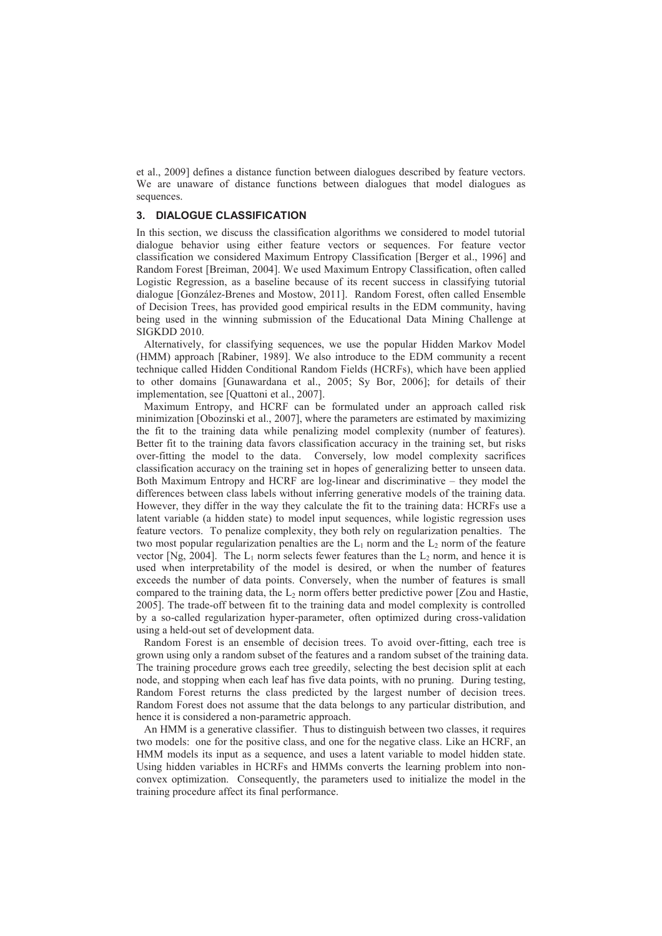et al., 2009] defines a distance function between dialogues described by feature vectors. We are unaware of distance functions between dialogues that model dialogues as sequences.

# **3. DIALOGUE CLASSIFICATION**

In this section, we discuss the classification algorithms we considered to model tutorial dialogue behavior using either feature vectors or sequences. For feature vector classification we considered Maximum Entropy Classification [Berger et al., 1996] and Random Forest [Breiman, 2004]. We used Maximum Entropy Classification, often called Logistic Regression, as a baseline because of its recent success in classifying tutorial dialogue [González-Brenes and Mostow, 2011]. Random Forest, often called Ensemble of Decision Trees, has provided good empirical results in the EDM community, having being used in the winning submission of the Educational Data Mining Challenge at SIGKDD 2010.

Alternatively, for classifying sequences, we use the popular Hidden Markov Model (HMM) approach [Rabiner, 1989]. We also introduce to the EDM community a recent technique called Hidden Conditional Random Fields (HCRFs), which have been applied to other domains [Gunawardana et al., 2005; Sy Bor, 2006]; for details of their implementation, see [Quattoni et al., 2007].

Maximum Entropy, and HCRF can be formulated under an approach called risk minimization [Obozinski et al., 2007], where the parameters are estimated by maximizing the fit to the training data while penalizing model complexity (number of features). Better fit to the training data favors classification accuracy in the training set, but risks over-fitting the model to the data. Conversely, low model complexity sacrifices classification accuracy on the training set in hopes of generalizing better to unseen data. Both Maximum Entropy and HCRF are log-linear and discriminative – they model the differences between class labels without inferring generative models of the training data. However, they differ in the way they calculate the fit to the training data: HCRFs use a latent variable (a hidden state) to model input sequences, while logistic regression uses feature vectors. To penalize complexity, they both rely on regularization penalties. The two most popular regularization penalties are the  $L_1$  norm and the  $L_2$  norm of the feature vector [Ng, 2004]. The  $L_1$  norm selects fewer features than the  $L_2$  norm, and hence it is used when interpretability of the model is desired, or when the number of features exceeds the number of data points. Conversely, when the number of features is small compared to the training data, the  $L_2$  norm offers better predictive power [Zou and Hastie, 2005]. The trade-off between fit to the training data and model complexity is controlled by a so-called regularization hyper-parameter, often optimized during cross-validation using a held-out set of development data.

Random Forest is an ensemble of decision trees. To avoid over-fitting, each tree is grown using only a random subset of the features and a random subset of the training data. The training procedure grows each tree greedily, selecting the best decision split at each node, and stopping when each leaf has five data points, with no pruning. During testing, Random Forest returns the class predicted by the largest number of decision trees. Random Forest does not assume that the data belongs to any particular distribution, and hence it is considered a non-parametric approach.

An HMM is a generative classifier. Thus to distinguish between two classes, it requires two models: one for the positive class, and one for the negative class. Like an HCRF, an HMM models its input as a sequence, and uses a latent variable to model hidden state. Using hidden variables in HCRFs and HMMs converts the learning problem into nonconvex optimization. Consequently, the parameters used to initialize the model in the training procedure affect its final performance.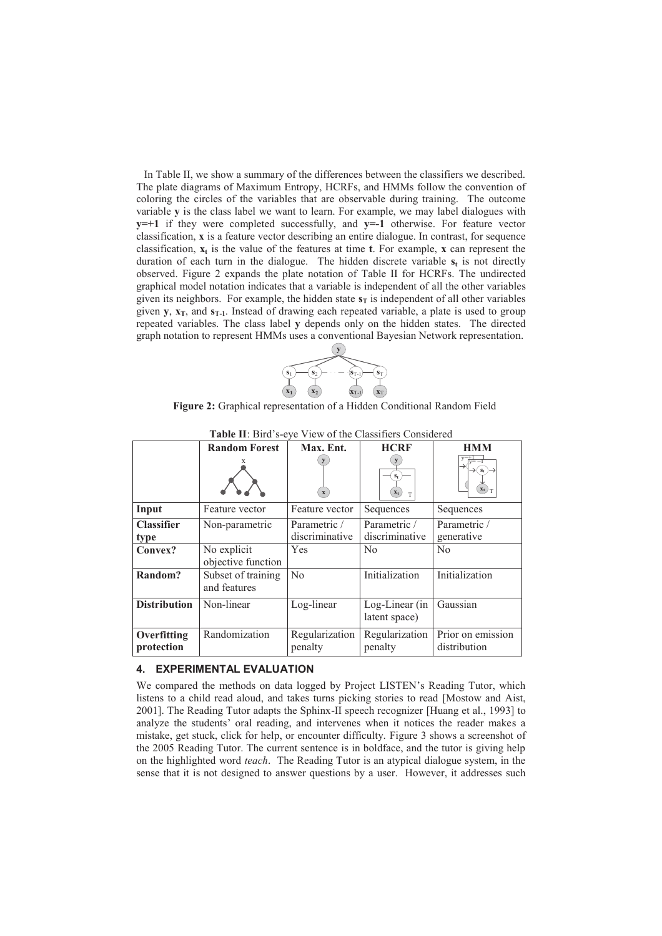In Table II, we show a summary of the differences between the classifiers we described. The plate diagrams of Maximum Entropy, HCRFs, and HMMs follow the convention of coloring the circles of the variables that are observable during training. The outcome variable **y** is the class label we want to learn. For example, we may label dialogues with **y=+1** if they were completed successfully, and **y=-1** otherwise. For feature vector classification, **x** is a feature vector describing an entire dialogue. In contrast, for sequence classification,  $\mathbf{x}_t$  is the value of the features at time **t**. For example, **x** can represent the duration of each turn in the dialogue. The hidden discrete variable **s<sup>t</sup>** is not directly observed. Figure 2 expands the plate notation of Table II for HCRFs. The undirected graphical model notation indicates that a variable is independent of all the other variables given its neighbors. For example, the hidden state  $\mathbf{s}_T$  is independent of all other variables given **y**,  $\mathbf{x}_T$ , and  $\mathbf{s}_{T_1}$ . Instead of drawing each repeated variable, a plate is used to group repeated variables. The class label **y** depends only on the hidden states. The directed graph notation to represent HMMs uses a conventional Bayesian Network representation.



**Figure 2:** Graphical representation of a Hidden Conditional Random Field

|                           | <b>Random Forest</b>               | Max. Ent.                      | <b>HCRF</b>                     | <b>HMM</b>                        |
|---------------------------|------------------------------------|--------------------------------|---------------------------------|-----------------------------------|
|                           |                                    | $\mathbf{x}$                   | $S_t$<br>$\mathbf{x}_t$<br>T    | $S_t$<br>$\left(x_t\right)_T$     |
| Input                     | Feature vector                     | Feature vector                 | Sequences                       | Sequences                         |
| <b>Classifier</b><br>type | Non-parametric                     | Parametric /<br>discriminative | Parametric /<br>discriminative  | Parametric /<br>generative        |
| Convex?                   | No explicit<br>objective function  | Yes                            | N <sub>0</sub>                  | No                                |
| Random?                   | Subset of training<br>and features | No                             | Initialization                  | Initialization                    |
| <b>Distribution</b>       | Non-linear                         | Log-linear                     | Log-Linear (in<br>latent space) | Gaussian                          |
| Overfitting<br>protection | Randomization                      | Regularization<br>penalty      | Regularization<br>penalty       | Prior on emission<br>distribution |

**Table II**: Bird's-eye View of the Classifiers Considered

#### **4. EXPERIMENTAL EVALUATION**

We compared the methods on data logged by Project LISTEN's Reading Tutor, which listens to a child read aloud, and takes turns picking stories to read [Mostow and Aist, 2001]. The Reading Tutor adapts the Sphinx-II speech recognizer [Huang et al., 1993] to analyze the students' oral reading, and intervenes when it notices the reader makes a mistake, get stuck, click for help, or encounter difficulty. Figure 3 shows a screenshot of the 2005 Reading Tutor. The current sentence is in boldface, and the tutor is giving help on the highlighted word *teach*. The Reading Tutor is an atypical dialogue system, in the sense that it is not designed to answer questions by a user. However, it addresses such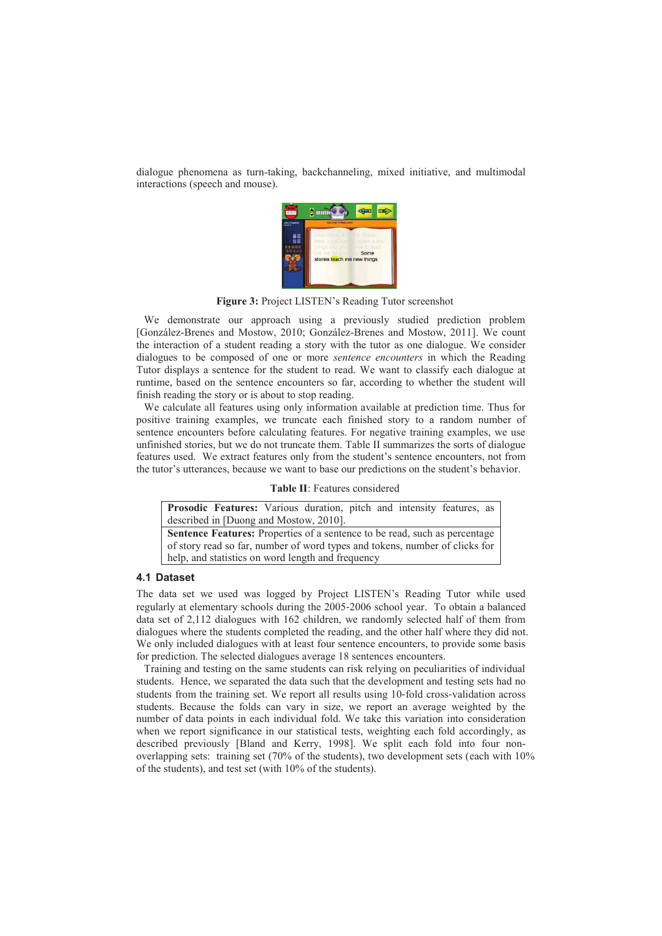dialogue phenomena as turn-taking, backchanneling, mixed initiative, and multimodal interactions (speech and mouse).



**Figure 3:** Project LISTEN's Reading Tutor screenshot

We demonstrate our approach using a previously studied prediction problem [González-Brenes and Mostow, 2010; González-Brenes and Mostow, 2011]. We count the interaction of a student reading a story with the tutor as one dialogue. We consider dialogues to be composed of one or more *sentence encounters* in which the Reading Tutor displays a sentence for the student to read. We want to classify each dialogue at runtime, based on the sentence encounters so far, according to whether the student will finish reading the story or is about to stop reading.

We calculate all features using only information available at prediction time. Thus for positive training examples, we truncate each finished story to a random number of sentence encounters before calculating features. For negative training examples, we use unfinished stories, but we do not truncate them. Table II summarizes the sorts of dialogue features used. We extract features only from the student's sentence encounters, not from the tutor's utterances, because we want to base our predictions on the student's behavior.

|  | <b>Table II:</b> Features considered |
|--|--------------------------------------|
|  |                                      |

| Prosodic Features: Various duration, pitch and intensity features, as             |  |  |  |  |  |  |
|-----------------------------------------------------------------------------------|--|--|--|--|--|--|
| described in [Duong and Mostow, 2010].                                            |  |  |  |  |  |  |
| <b>Sentence Features:</b> Properties of a sentence to be read, such as percentage |  |  |  |  |  |  |
| of story read so far, number of word types and tokens, number of clicks for       |  |  |  |  |  |  |
| help, and statistics on word length and frequency                                 |  |  |  |  |  |  |

## **4.1 Dataset**

The data set we used was logged by Project LISTEN's Reading Tutor while used regularly at elementary schools during the 2005-2006 school year. To obtain a balanced data set of 2,112 dialogues with 162 children, we randomly selected half of them from dialogues where the students completed the reading, and the other half where they did not. We only included dialogues with at least four sentence encounters, to provide some basis for prediction. The selected dialogues average 18 sentences encounters.

Training and testing on the same students can risk relying on peculiarities of individual students. Hence, we separated the data such that the development and testing sets had no students from the training set. We report all results using 10-fold cross-validation across students. Because the folds can vary in size, we report an average weighted by the number of data points in each individual fold. We take this variation into consideration when we report significance in our statistical tests, weighting each fold accordingly, as described previously [Bland and Kerry, 1998]. We split each fold into four nonoverlapping sets: training set (70% of the students), two development sets (each with 10% of the students), and test set (with 10% of the students).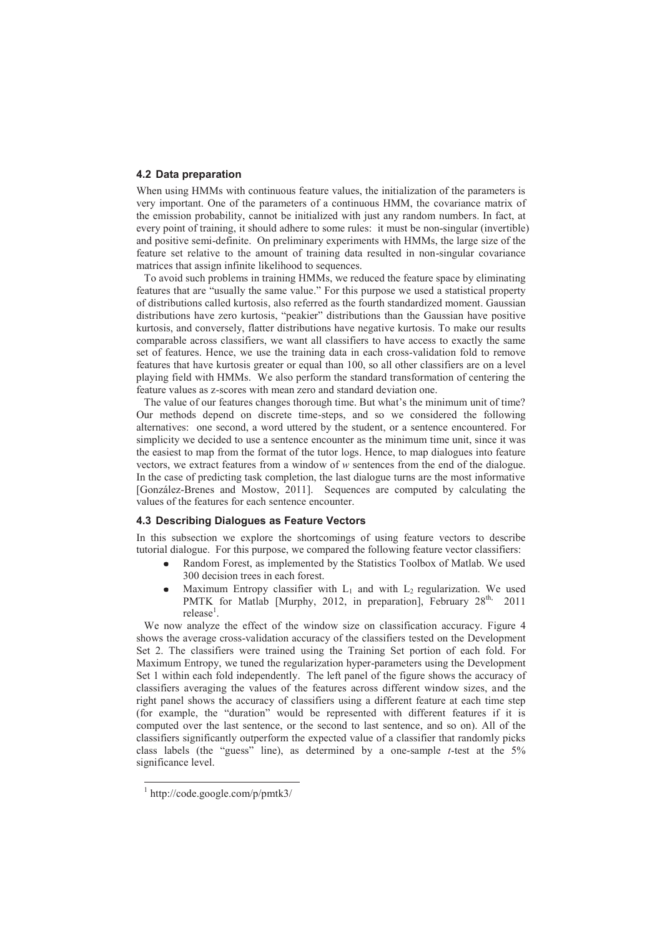## **4.2 Data preparation**

When using HMMs with continuous feature values, the initialization of the parameters is very important. One of the parameters of a continuous HMM, the covariance matrix of the emission probability, cannot be initialized with just any random numbers. In fact, at every point of training, it should adhere to some rules: it must be non-singular (invertible) and positive semi-definite. On preliminary experiments with HMMs, the large size of the feature set relative to the amount of training data resulted in non-singular covariance matrices that assign infinite likelihood to sequences.

To avoid such problems in training HMMs, we reduced the feature space by eliminating features that are "usually the same value." For this purpose we used a statistical property of distributions called kurtosis, also referred as the fourth standardized moment. Gaussian distributions have zero kurtosis, "peakier" distributions than the Gaussian have positive kurtosis, and conversely, flatter distributions have negative kurtosis. To make our results comparable across classifiers, we want all classifiers to have access to exactly the same set of features. Hence, we use the training data in each cross-validation fold to remove features that have kurtosis greater or equal than 100, so all other classifiers are on a level playing field with HMMs. We also perform the standard transformation of centering the feature values as z-scores with mean zero and standard deviation one.

The value of our features changes thorough time. But what's the minimum unit of time? Our methods depend on discrete time-steps, and so we considered the following alternatives: one second, a word uttered by the student, or a sentence encountered. For simplicity we decided to use a sentence encounter as the minimum time unit, since it was the easiest to map from the format of the tutor logs. Hence, to map dialogues into feature vectors, we extract features from a window of *w* sentences from the end of the dialogue. In the case of predicting task completion, the last dialogue turns are the most informative [González-Brenes and Mostow, 2011]. Sequences are computed by calculating the values of the features for each sentence encounter.

#### **4.3 Describing Dialogues as Feature Vectors**

In this subsection we explore the shortcomings of using feature vectors to describe tutorial dialogue. For this purpose, we compared the following feature vector classifiers:

- Random Forest, as implemented by the Statistics Toolbox of Matlab. We used  $\bullet$ 300 decision trees in each forest.
- Maximum Entropy classifier with  $L_1$  and with  $L_2$  regularization. We used  $\bullet$ PMTK for Matlab [Murphy, 2012, in preparation], February  $28<sup>th</sup>$ , 2011 release<sup>1</sup>.

We now analyze the effect of the window size on classification accuracy. Figure 4 shows the average cross-validation accuracy of the classifiers tested on the Development Set 2. The classifiers were trained using the Training Set portion of each fold. For Maximum Entropy, we tuned the regularization hyper-parameters using the Development Set 1 within each fold independently. The left panel of the figure shows the accuracy of classifiers averaging the values of the features across different window sizes, and the right panel shows the accuracy of classifiers using a different feature at each time step (for example, the "duration" would be represented with different features if it is computed over the last sentence, or the second to last sentence, and so on). All of the classifiers significantly outperform the expected value of a classifier that randomly picks class labels (the "guess" line), as determined by a one-sample *t*-test at the 5% significance level.

<sup>1</sup> http://code.google.com/p/pmtk3/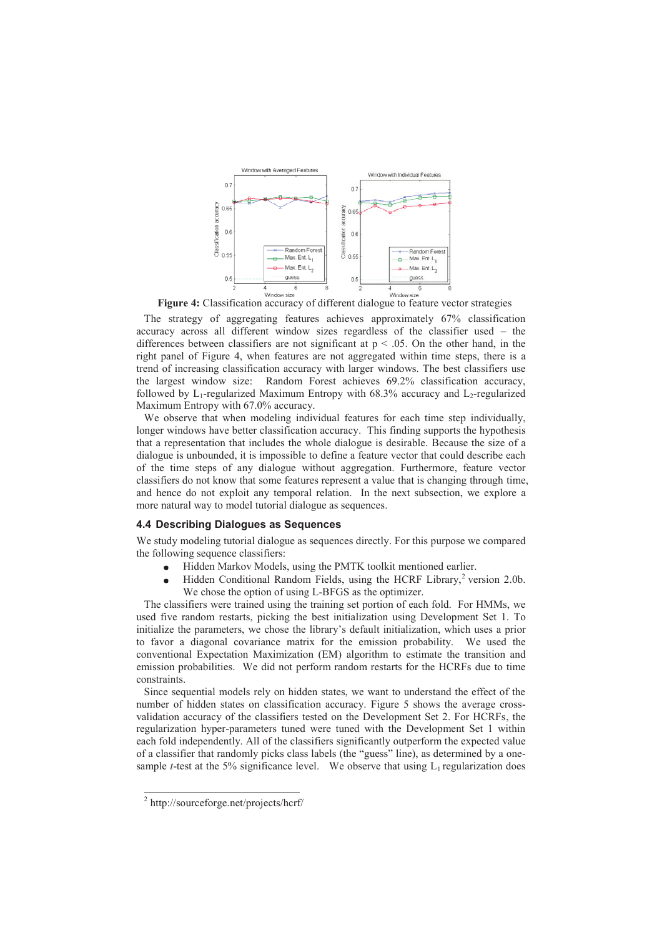

**Figure 4:** Classification accuracy of different dialogue to feature vector strategies

The strategy of aggregating features achieves approximately 67% classification accuracy across all different window sizes regardless of the classifier used – the differences between classifiers are not significant at  $p < .05$ . On the other hand, in the right panel of Figure 4, when features are not aggregated within time steps, there is a trend of increasing classification accuracy with larger windows. The best classifiers use the largest window size: Random Forest achieves 69.2% classification accuracy, followed by  $L_1$ -regularized Maximum Entropy with 68.3% accuracy and  $L_2$ -regularized Maximum Entropy with 67.0% accuracy.

We observe that when modeling individual features for each time step individually, longer windows have better classification accuracy. This finding supports the hypothesis that a representation that includes the whole dialogue is desirable. Because the size of a dialogue is unbounded, it is impossible to define a feature vector that could describe each of the time steps of any dialogue without aggregation. Furthermore, feature vector classifiers do not know that some features represent a value that is changing through time, and hence do not exploit any temporal relation. In the next subsection, we explore a more natural way to model tutorial dialogue as sequences.

#### **4.4 Describing Dialogues as Sequences**

We study modeling tutorial dialogue as sequences directly. For this purpose we compared the following sequence classifiers:

- Hidden Markov Models, using the PMTK toolkit mentioned earlier.
- Hidden Conditional Random Fields, using the HCRF Library, $2$  version 2.0b.  $\bullet$ We chose the option of using L-BFGS as the optimizer.

The classifiers were trained using the training set portion of each fold. For HMMs, we used five random restarts, picking the best initialization using Development Set 1. To initialize the parameters, we chose the library's default initialization, which uses a prior to favor a diagonal covariance matrix for the emission probability. We used the conventional Expectation Maximization (EM) algorithm to estimate the transition and emission probabilities. We did not perform random restarts for the HCRFs due to time constraints.

Since sequential models rely on hidden states, we want to understand the effect of the number of hidden states on classification accuracy. Figure 5 shows the average crossvalidation accuracy of the classifiers tested on the Development Set 2. For HCRFs, the regularization hyper-parameters tuned were tuned with the Development Set 1 within each fold independently. All of the classifiers significantly outperform the expected value of a classifier that randomly picks class labels (the "guess" line), as determined by a onesample *t*-test at the 5% significance level. We observe that using  $L_1$  regularization does

<sup>2</sup> http://sourceforge.net/projects/hcrf/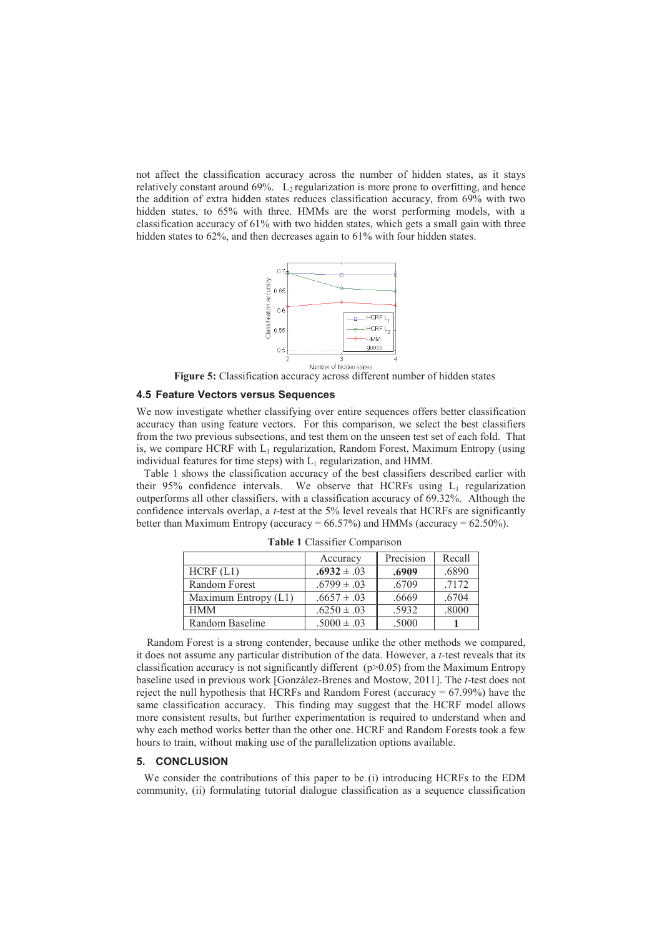not affect the classification accuracy across the number of hidden states, as it stays relatively constant around  $69\%$ . L<sub>2</sub> regularization is more prone to overfitting, and hence the addition of extra hidden states reduces classification accuracy, from 69% with two hidden states, to 65% with three. HMMs are the worst performing models, with a classification accuracy of 61% with two hidden states, which gets a small gain with three hidden states to 62%, and then decreases again to 61% with four hidden states.



**Figure 5:** Classification accuracy across different number of hidden states

## **4.5 Feature Vectors versus Sequences**

We now investigate whether classifying over entire sequences offers better classification accuracy than using feature vectors. For this comparison, we select the best classifiers from the two previous subsections, and test them on the unseen test set of each fold. That is, we compare HCRF with  $L_1$  regularization, Random Forest, Maximum Entropy (using individual features for time steps) with  $L_1$  regularization, and HMM.

Table 1 shows the classification accuracy of the best classifiers described earlier with their 95% confidence intervals. We observe that HCRFs using  $L_1$  regularization outperforms all other classifiers, with a classification accuracy of 69.32%. Although the confidence intervals overlap, a *t*-test at the 5% level reveals that HCRFs are significantly better than Maximum Entropy (accuracy =  $66.57\%$ ) and HMMs (accuracy =  $62.50\%$ ).

|                        | Accuracy        | Precision | Recall |
|------------------------|-----------------|-----------|--------|
| HCRF (L1)              | $.6932 \pm .03$ | .6909     | .6890  |
| Random Forest          | $.6799 \pm .03$ | .6709     | 7172   |
| Maximum Entropy $(L1)$ | $.6657 \pm .03$ | .6669     | .6704  |
| <b>HMM</b>             | $.6250 \pm .03$ | .5932     | .8000  |
| Random Baseline        | $.5000 \pm .03$ | .5000     |        |

**Table 1** Classifier Comparison

 Random Forest is a strong contender, because unlike the other methods we compared, it does not assume any particular distribution of the data. However, a *t-*test reveals that its classification accuracy is not significantly different ( $p>0.05$ ) from the Maximum Entropy baseline used in previous work [González-Brenes and Mostow, 2011]. The *t*-test does not reject the null hypothesis that HCRFs and Random Forest (accuracy  $= 67.99\%$ ) have the same classification accuracy. This finding may suggest that the HCRF model allows more consistent results, but further experimentation is required to understand when and why each method works better than the other one. HCRF and Random Forests took a few hours to train, without making use of the parallelization options available.

# **5. CONCLUSION**

We consider the contributions of this paper to be (i) introducing HCRFs to the EDM community, (ii) formulating tutorial dialogue classification as a sequence classification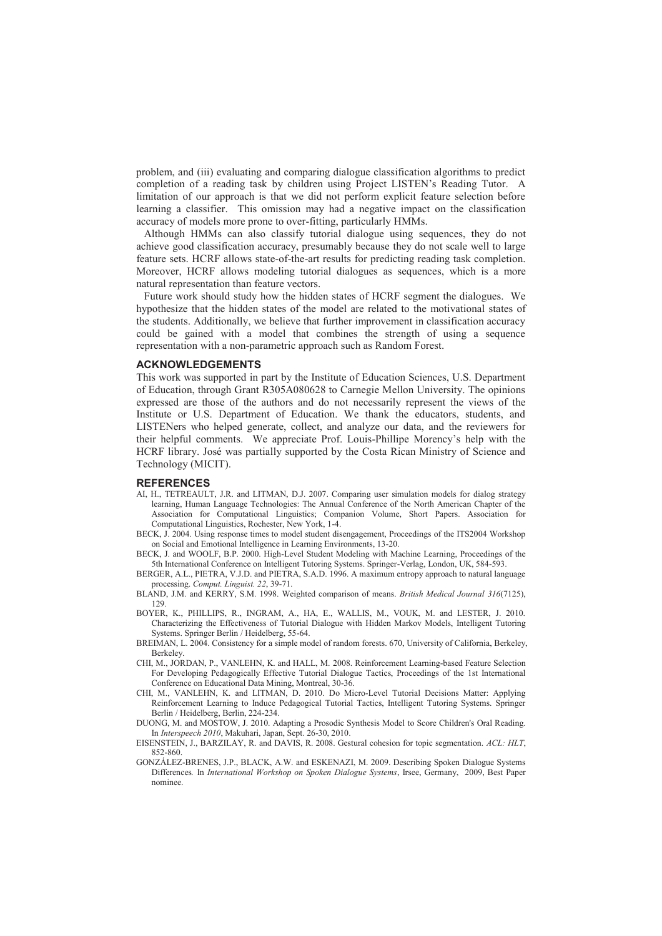problem, and (iii) evaluating and comparing dialogue classification algorithms to predict completion of a reading task by children using Project LISTEN's Reading Tutor. A limitation of our approach is that we did not perform explicit feature selection before learning a classifier. This omission may had a negative impact on the classification accuracy of models more prone to over-fitting, particularly HMMs.

Although HMMs can also classify tutorial dialogue using sequences, they do not achieve good classification accuracy, presumably because they do not scale well to large feature sets. HCRF allows state-of-the-art results for predicting reading task completion. Moreover, HCRF allows modeling tutorial dialogues as sequences, which is a more natural representation than feature vectors.

Future work should study how the hidden states of HCRF segment the dialogues. We hypothesize that the hidden states of the model are related to the motivational states of the students. Additionally, we believe that further improvement in classification accuracy could be gained with a model that combines the strength of using a sequence representation with a non-parametric approach such as Random Forest.

#### **ACKNOWLEDGEMENTS**

This work was supported in part by the Institute of Education Sciences, U.S. Department of Education, through Grant R305A080628 to Carnegie Mellon University. The opinions expressed are those of the authors and do not necessarily represent the views of the Institute or U.S. Department of Education. We thank the educators, students, and LISTENers who helped generate, collect, and analyze our data, and the reviewers for their helpful comments. We appreciate Prof. Louis-Phillipe Morency's help with the HCRF library. José was partially supported by the Costa Rican Ministry of Science and Technology (MICIT).

#### **REFERENCES**

- AI, H., TETREAULT, J.R. and LITMAN, D.J. 2007. Comparing user simulation models for dialog strategy learning, Human Language Technologies: The Annual Conference of the North American Chapter of the Association for Computational Linguistics; Companion Volume, Short Papers. Association for Computational Linguistics, Rochester, New York, 1-4.
- BECK, J. 2004. Using response times to model student disengagement, Proceedings of the ITS2004 Workshop on Social and Emotional Intelligence in Learning Environments, 13-20.
- BECK, J. and WOOLF, B.P. 2000. High-Level Student Modeling with Machine Learning, Proceedings of the 5th International Conference on Intelligent Tutoring Systems. Springer-Verlag, London, UK, 584-593.
- BERGER, A.L., PIETRA, V.J.D. and PIETRA, S.A.D. 1996. A maximum entropy approach to natural language processing. *Comput. Linguist. 22*, 39-71.
- BLAND, J.M. and KERRY, S.M. 1998. Weighted comparison of means. *British Medical Journal 316*(7125), 129.
- BOYER, K., PHILLIPS, R., INGRAM, A., HA, E., WALLIS, M., VOUK, M. and LESTER, J. 2010. Characterizing the Effectiveness of Tutorial Dialogue with Hidden Markov Models, Intelligent Tutoring Systems. Springer Berlin / Heidelberg, 55-64.
- BREIMAN, L. 2004. Consistency for a simple model of random forests. 670, University of California, Berkeley, Berkeley.
- CHI, M., JORDAN, P., VANLEHN, K. and HALL, M. 2008. Reinforcement Learning-based Feature Selection For Developing Pedagogically Effective Tutorial Dialogue Tactics, Proceedings of the 1st International Conference on Educational Data Mining, Montreal, 30-36.
- CHI, M., VANLEHN, K. and LITMAN, D. 2010. Do Micro-Level Tutorial Decisions Matter: Applying Reinforcement Learning to Induce Pedagogical Tutorial Tactics, Intelligent Tutoring Systems. Springer Berlin / Heidelberg, Berlin, 224-234.
- DUONG, M. and MOSTOW, J. 2010. Adapting a Prosodic Synthesis Model to Score Children's Oral Reading*.* In *Interspeech 2010*, Makuhari, Japan, Sept. 26-30, 2010.
- EISENSTEIN, J., BARZILAY, R. and DAVIS, R. 2008. Gestural cohesion for topic segmentation. *ACL: HLT*, 852-860.
- GONZÁLEZ-BRENES, J.P., BLACK, A.W. and ESKENAZI, M. 2009. Describing Spoken Dialogue Systems Differences*.* In *International Workshop on Spoken Dialogue Systems*, Irsee, Germany, 2009, Best Paper nominee.